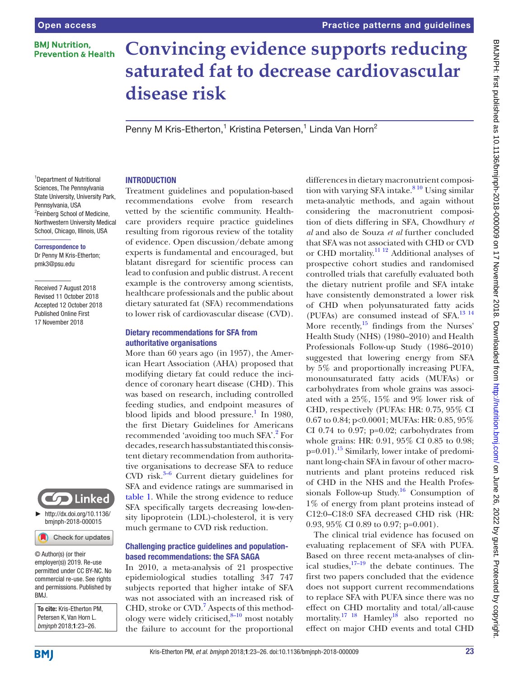# **BMI Nutrition. Prevention & Health**

# **Convincing evidence supports reducing saturated fat to decrease cardiovascular disease risk**

Penny M Kris-Etherton,<sup>1</sup> Kristina Petersen,<sup>1</sup> Linda Van Horn<sup>2</sup>

<sup>1</sup>Department of Nutritional Sciences, The Pennsylvania State University, University Park, Pennsylvania, USA <sup>2</sup>Feinberg School of Medicine, Northwestern University Medical School, Chicago, Illinois, USA

#### Correspondence to

Dr Penny M Kris-Etherton; pmk3@psu.edu

Received 7 August 2018 Revised 11 October 2018 Accepted 12 October 2018 Published Online First 17 November 2018



#### Check for updates

© Author(s) (or their employer(s)) 2019. Re-use permitted under CC BY-NC. No commercial re-use. See rights and permissions. Published by BMJ.

To cite: Kris-Etherton PM, Petersen K, Van Horn L. *bmjnph* 2018;1:23–26.

#### **INTRODUCTION**

Treatment guidelines and population-based recommendations evolve from research vetted by the scientific community. Healthcare providers require practice guidelines resulting from rigorous review of the totality of evidence. Open discussion/debate among experts is fundamental and encouraged, but blatant disregard for scientific process can lead to confusion and public distrust. A recent example is the controversy among scientists, healthcare professionals and the public about dietary saturated fat (SFA) recommendations to lower risk of cardiovascular disease (CVD).

### Dietary recommendations for SFA from authoritative organisations

More than 60 years ago (in 1957), the American Heart Association (AHA) proposed that modifying dietary fat could reduce the incidence of coronary heart disease (CHD). This was based on research, including controlled feeding studies, and endpoint measures of blood lipids and blood pressure.<sup>1</sup> In 1980, the first Dietary Guidelines for Americans recommended 'avoiding too much SFA'.<sup>[2](#page-2-1)</sup> For decades, research has substantiated this consistent dietary recommendation from authoritative organisations to decrease SFA to reduce CVD risk. $3-6$  Current dietary guidelines for SFA and evidence ratings are summarised in [table](#page-1-0) 1. While the strong evidence to reduce SFA specifically targets decreasing low-density lipoprotein (LDL)-cholesterol, it is very much germane to CVD risk reduction.

#### Challenging practice guidelines and populationbased recommendations: the SFA SAGA

In 2010, a meta-analysis of 21 prospective epidemiological studies totalling 347 747 subjects reported that higher intake of SFA was not associated with an increased risk of CHD, stroke or CVD.<sup>[7](#page-2-3)</sup> Aspects of this methodology were widely criticised, $8-10$  most notably the failure to account for the proportional

differences in dietary macronutrient composition with varying SFA intake. $810$  Using similar meta-analytic methods, and again without considering the macronutrient composition of diets differing in SFA, Chowdhury *et al* and also de Souza *et al* further concluded that SFA was not associated with CHD or CVD or CHD mortality.[11 12](#page-2-5) Additional analyses of prospective cohort studies and randomised controlled trials that carefully evaluated both the dietary nutrient profile and SFA intake have consistently demonstrated a lower risk of CHD when polyunsaturated fatty acids (PUFAs) are consumed instead of SFA.[13 14](#page-3-0) More recently, $^{15}$  findings from the Nurses' Health Study (NHS) (1980–2010) and Health Professionals Follow-up Study (1986–2010) suggested that lowering energy from SFA by 5% and proportionally increasing PUFA, monounsaturated fatty acids (MUFAs) or carbohydrates from whole grains was associated with a 25%, 15% and 9% lower risk of CHD, respectively (PUFAs: HR: 0.75, 95% CI 0.67 to 0.84; p<0.0001; MUFAs: HR: 0.85, 95% CI 0.74 to 0.97;  $p=0.02$ ; carbohydrates from whole grains: HR: 0.91, 95% CI 0.85 to 0.98;  $p=0.01$ ).<sup>[15](#page-3-1)</sup> Similarly, lower intake of predominant long-chain SFA in favour of other macronutrients and plant proteins reduced risk of CHD in the NHS and the Health Professionals Follow-up Study.<sup>16</sup> Consumption of 1% of energy from plant proteins instead of C12:0–C18:0 SFA decreased CHD risk (HR: 0.93, 95% CI 0.89 to 0.97; p=0.001).

The clinical trial evidence has focused on evaluating replacement of SFA with PUFA. Based on three recent meta-analyses of clinical studies, $17-19$  the debate continues. The first two papers concluded that the evidence does not support current recommendations to replace SFA with PUFA since there was no effect on CHD mortality and total/all-cause mortality.<sup>17</sup> <sup>18</sup> Hamley<sup>18</sup> also reported no effect on major CHD events and total CHD

**BMI**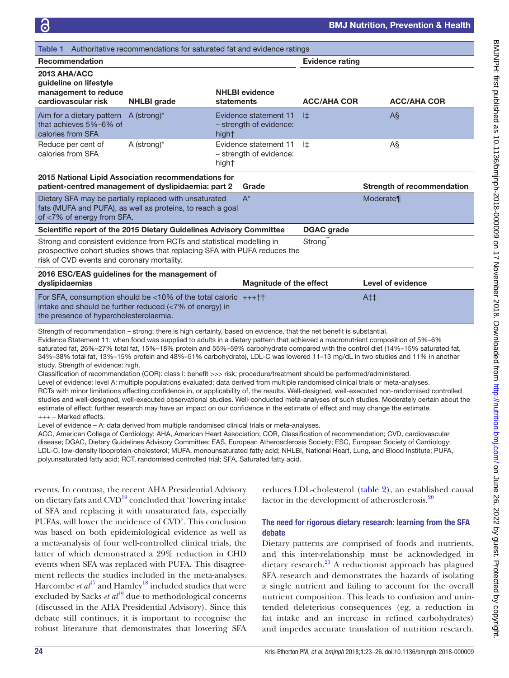<span id="page-1-0"></span>

| Table 1                                                                                                                                                                                          | Authoritative recommendations for saturated fat and evidence ratings |                                                           |                     |                                   |
|--------------------------------------------------------------------------------------------------------------------------------------------------------------------------------------------------|----------------------------------------------------------------------|-----------------------------------------------------------|---------------------|-----------------------------------|
| <b>Recommendation</b>                                                                                                                                                                            |                                                                      | <b>Evidence rating</b>                                    |                     |                                   |
| 2013 AHA/ACC<br>guideline on lifestyle<br>management to reduce<br>cardiovascular risk                                                                                                            | <b>NHLBI</b> grade                                                   | <b>NHLBI</b> evidence<br>statements                       | <b>ACC/AHA COR</b>  | <b>ACC/AHA COR</b>                |
| Aim for a dietary pattern<br>that achieves 5%-6% of<br>calories from SFA                                                                                                                         | A (strong)*                                                          | Evidence statement 11<br>- strength of evidence:<br>hight | l‡                  | AŞ                                |
| Reduce per cent of<br>calories from SFA                                                                                                                                                          | A (strong)*                                                          | Evidence statement 11<br>- strength of evidence:<br>hight | l‡                  | A§                                |
| 2015 National Lipid Association recommendations for<br>patient-centred management of dyslipidaemia: part 2                                                                                       |                                                                      | Grade                                                     |                     | <b>Strength of recommendation</b> |
| Dietary SFA may be partially replaced with unsaturated<br>fats (MUFA and PUFA), as well as proteins, to reach a goal<br>of <7% of energy from SFA.                                               |                                                                      | $A^*$                                                     |                     | Moderate¶                         |
| Scientific report of the 2015 Dietary Guidelines Advisory Committee                                                                                                                              |                                                                      |                                                           | <b>DGAC</b> grade   |                                   |
| Strong and consistent evidence from RCTs and statistical modelling in<br>prospective cohort studies shows that replacing SFA with PUFA reduces the<br>risk of CVD events and coronary mortality. |                                                                      |                                                           | Strong <sup>®</sup> |                                   |
| 2016 ESC/EAS guidelines for the management of<br>dyslipidaemias                                                                                                                                  |                                                                      | <b>Magnitude of the effect</b>                            |                     | <b>Level of evidence</b>          |
| For SFA, consumption should be $\langle 10\%$ of the total caloric $+++ \dagger \dagger$<br>intake and should be further reduced (<7% of energy) in<br>the presence of hypercholesterolaemia.    |                                                                      |                                                           |                     | $At+$                             |
| the contract of the contract of the contract of the contract of the contract of                                                                                                                  |                                                                      |                                                           |                     |                                   |

Strength of recommendation – strong: there is high certainty, based on evidence, that the net benefit is substantial. Evidence Statement 11: when food was supplied to adults in a dietary pattern that achieved a macronutrient composition of 5%–6% saturated fat, 26%–27% total fat, 15%–18% protein and 55%–59% carbohydrate compared with the control diet (14%–15% saturated fat, 34%–38% total fat, 13%–15% protein and 48%–51% carbohydrate), LDL-C was lowered 11–13 mg/dL in two studies and 11% in another study. Strength of evidence: high.

Classification of recommendation (COR): class I: benefit >>> risk; procedure/treatment should be performed/administered.

Level of evidence: level A: multiple populations evaluated; data derived from multiple randomised clinical trials or meta-analyses.

RCTs with minor limitations affecting confidence in, or applicability of, the results. Well-designed, well-executed non-randomised controlled studies and well-designed, well-executed observational studies. Well-conducted meta-analyses of such studies. Moderately certain about the estimate of effect; further research may have an impact on our confidence in the estimate of effect and may change the estimate. +++ – Marked effects.

Level of evidence – A: data derived from multiple randomised clinical trials or meta-analyses.

ACC, American College of Cardiology; AHA, American Heart Association; COR, Classification of recommendation; CVD, cardiovascular disease; DGAC, Dietary Guidelines Advisory Committee; EAS, European Atherosclerosis Society; ESC, European Society of Cardiology; LDL-C, low-density lipoprotein-cholesterol; MUFA, monounsaturated fatty acid; NHLBI, National Heart, Lung, and Blood Institute; PUFA, polyunsaturated fatty acid; RCT, randomised controlled trial; SFA, Saturated fatty acid.

events. In contrast, the recent AHA Presidential Advisory on dietary fats and CVD<sup>19</sup> concluded that 'lowering intake of SFA and replacing it with unsaturated fats, especially PUFAs, will lower the incidence of CVD'. This conclusion was based on both epidemiological evidence as well as a meta-analysis of four well-controlled clinical trials, the latter of which demonstrated a 29% reduction in CHD events when SFA was replaced with PUFA. This disagreement reflects the studies included in the meta-analyses. Harcombe *et al*<sup>[17](#page-3-3)</sup> and Hamley<sup>18</sup> included studies that were excluded by Sacks *et al*<sup>19</sup> due to methodological concerns (discussed in the AHA Presidential Advisory). Since this debate still continues, it is important to recognise the robust literature that demonstrates that lowering SFA

reduces LDL-cholesterol [\(table](#page-2-6) 2), an established causal factor in the development of atherosclerosis.<sup>[20](#page-3-6)</sup>

# The need for rigorous dietary research: learning from the SFA debate

Dietary patterns are comprised of foods and nutrients, and this inter-relationship must be acknowledged in dietary research.<sup>21</sup> A reductionist approach has plagued SFA research and demonstrates the hazards of isolating a single nutrient and failing to account for the overall nutrient composition. This leads to confusion and unintended deleterious consequences (eg, a reduction in fat intake and an increase in refined carbohydrates) and impedes accurate translation of nutrition research.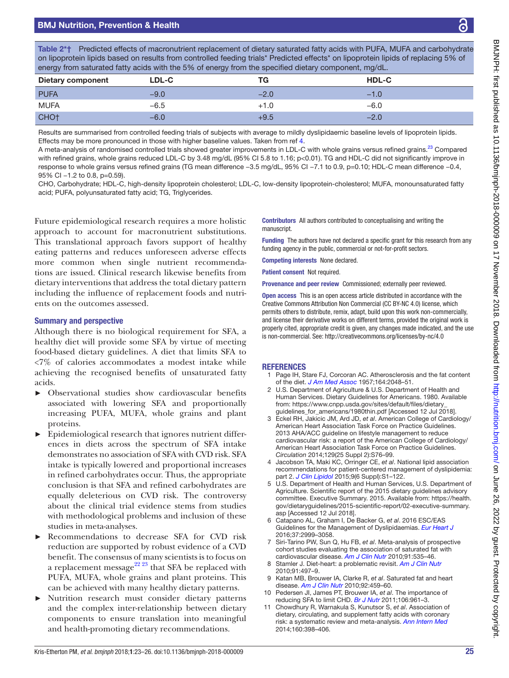# BMJ Nutrition, Prevention & Health

<span id="page-2-6"></span>Table 2\*† Predicted effects of macronutrient replacement of dietary saturated fatty acids with PUFA, MUFA and carbohydrate on lipoprotein lipids based on results from controlled feeding trials\* Predicted effects\* on lipoprotein lipids of replacing 5% of energy from saturated fatty acids with the 5% of energy from the specified dietary component, mg/dL.

| $\sim$                   |        | $\sim$ | $\sim$       |  |
|--------------------------|--------|--------|--------------|--|
| <b>Dietary component</b> | LDL-C  | TG     | <b>HDL-C</b> |  |
| <b>PUFA</b>              | $-9.0$ | $-2.0$ | $-1.0$       |  |
| <b>MUFA</b>              | $-6.5$ | $+1.0$ | $-6.0$       |  |
| CHO <sub>†</sub>         | $-6.0$ | +9.5   | $-2.0$       |  |

Results are summarised from controlled feeding trials of subjects with average to mildly dyslipidaemic baseline levels of lipoprotein lipids. Effects may be more pronounced in those with higher baseline values. Taken from ref [4.](#page-2-7)

A meta-analysis of randomised controlled trials showed greater improvements in LDL-C with whole grains versus refined grains.<sup>23</sup> Compared with refined grains, whole grains reduced LDL-C by 3.48 mg/dL (95% CI 5.8 to 1.16; p<0.01). TG and HDL-C did not significantly improve in response to whole grains versus refined grains (TG mean difference −3.5 mg/dL, 95% CI −7.1 to 0.9, p=0.10; HDL-C mean difference −0.4, 95% CI -1.2 to 0.8, p=0.59).

CHO, Carbohydrate; HDL-C, high-density lipoprotein cholesterol; LDL-C, low-density lipoprotein-cholesterol; MUFA, monounsaturated fatty acid; PUFA, polyunsaturated fatty acid; TG, Triglycerides.

Future epidemiological research requires a more holistic approach to account for macronutrient substitutions. This translational approach favors support of healthy eating patterns and reduces unforeseen adverse effects more common when single nutrient recommendations are issued. Clinical research likewise benefits from dietary interventions that address the total dietary pattern including the influence of replacement foods and nutrients on the outcomes assessed.

#### Summary and perspective

Although there is no biological requirement for SFA, a healthy diet will provide some SFA by virtue of meeting food-based dietary guidelines. A diet that limits SFA to <7% of calories accommodates a modest intake while achieving the recognised benefits of unsaturated fatty acids.

- ► Observational studies show cardiovascular benefits associated with lowering SFA and proportionally increasing PUFA, MUFA, whole grains and plant proteins.
- ► Epidemiological research that ignores nutrient differences in diets across the spectrum of SFA intake demonstrates no association of SFA with CVD risk. SFA intake is typically lowered and proportional increases in refined carbohydrates occur. Thus, the appropriate conclusion is that SFA and refined carbohydrates are equally deleterious on CVD risk. The controversy about the clinical trial evidence stems from studies with methodological problems and inclusion of these studies in meta-analyses.
- Recommendations to decrease SFA for CVD risk reduction are supported by robust evidence of a CVD benefit. The consensus of many scientists is to focus on a replacement message<sup>22 23</sup> that SFA be replaced with PUFA, MUFA, whole grains and plant proteins. This can be achieved with many healthy dietary patterns.
- ► Nutrition research must consider dietary patterns and the complex inter-relationship between dietary components to ensure translation into meaningful and health-promoting dietary recommendations.

Contributors All authors contributed to conceptualising and writing the manuscript

Funding The authors have not declared a specific grant for this research from any funding agency in the public, commercial or not-for-profit sectors.

Competing interests None declared.

Patient consent Not required.

Provenance and peer review Commissioned; externally peer reviewed.

**Open access** This is an open access article distributed in accordance with the Creative Commons Attribution Non Commercial (CC BY-NC 4.0) license, which permits others to distribute, remix, adapt, build upon this work non-commercially, and license their derivative works on different terms, provided the original work is properly cited, appropriate credit is given, any changes made indicated, and the use is non-commercial. See:<http://creativecommons.org/licenses/by-nc/4.0>

## **REFERENCES**

- <span id="page-2-0"></span>1 Page IH, Stare FJ, Corcoran AC. Atherosclerosis and the fat content of the diet. *[J Am Med Assoc](http://dx.doi.org/10.1001/jama.1957.62980180004013)* 1957;164:2048–51.
- <span id="page-2-1"></span>2 U.S. Department of Agriculture & U.S. Department of Health and Human Services. Dietary Guidelines for Americans. 1980. Available from: [https://www.cnpp.usda.gov/sites/default/files/dietary\\_](https://www.cnpp.usda.gov/sites/default/files/dietary_guidelines_for_americans/1980thin.pdf) guidelines for americans/1980thin.pdf [Accessed 12 Jul 2018].
- <span id="page-2-2"></span>3 Eckel RH, Jakicic JM, Ard JD, *et al*. American College of Cardiology/ American Heart Association Task Force on Practice Guidelines. 2013 AHA/ACC guideline on lifestyle management to reduce cardiovascular risk: a report of the American College of Cardiology/ American Heart Association Task Force on Practice Guidelines. *Circulation* 2014;129(25 Suppl 2):S76–99.
- <span id="page-2-7"></span>4 Jacobson TA, Maki KC, Orringer CE, *et al*. National lipid association recommendations for patient-centered management of dyslipidemia: part 2. *[J Clin Lipidol](http://dx.doi.org/10.1016/j.jacl.2015.09.002)* 2015;9(6 Suppl):S1–122.
- 5 U.S. Department of Health and Human Services, U.S. Department of Agriculture. Scientific report of the 2015 dietary guidelines advisory committee. Executive Summary. 2015. Available from: [https://health.](https://health.gov/dietaryguidelines/2015-scientific-report/02-executive-summary.asp) [gov/dietaryguidelines/2015-scientific-report/02-executive-summary.](https://health.gov/dietaryguidelines/2015-scientific-report/02-executive-summary.asp) [asp](https://health.gov/dietaryguidelines/2015-scientific-report/02-executive-summary.asp) [Accessed 12 Jul 2018].
- 6 Catapano AL, Graham I, De Backer G, *et al*. 2016 ESC/EAS Guidelines for the Management of Dyslipidaemias. *[Eur Heart J](http://dx.doi.org/10.1093/eurheartj/ehw272)* 2016;37:2999–3058.
- <span id="page-2-3"></span>7 Siri-Tarino PW, Sun Q, Hu FB, *et al*. Meta-analysis of prospective cohort studies evaluating the association of saturated fat with cardiovascular disease. *[Am J Clin Nutr](http://dx.doi.org/10.3945/ajcn.2009.27725)* 2010;91:535–46.
- <span id="page-2-4"></span>8 Stamler J. Diet-heart: a problematic revisit. *[Am J Clin Nutr](http://dx.doi.org/10.3945/ajcn.2010.29216)* 2010;91:497–9.
- 9 Katan MB, Brouwer IA, Clarke R, *et al*. Saturated fat and heart disease. *[Am J Clin Nutr](http://dx.doi.org/10.3945/ajcn.2010.29692)* 2010;92:459–60.
- 10 Pedersen JI, James PT, Brouwer IA, *et al*. The importance of reducing SFA to limit CHD. *[Br J Nutr](http://dx.doi.org/10.1017/S000711451100506X)* 2011;106:961–3.
- <span id="page-2-5"></span>11 Chowdhury R, Warnakula S, Kunutsor S, *et al*. Association of dietary, circulating, and supplement fatty acids with coronary risk: a systematic review and meta-analysis. *[Ann Intern Med](http://dx.doi.org/10.7326/M13-1788)* 2014;160:398–406.